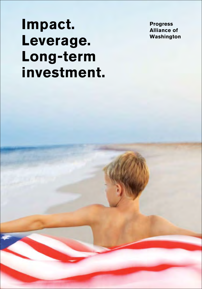**Impact. Leverage. Long-term investment.** 

**Progress Alliance of Washington**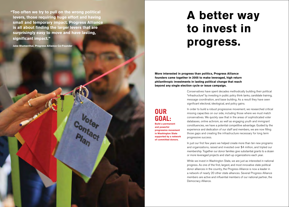**"Too often we try to pull on the wrong political levers, those requiring huge effort and having small and temporary impact. Progress Alliance is all about finding the larger levers that are surprisingly easy to move and have lasting, significant impact."**

Voter<br>Pintact

**Jabe Blumenthal, Progress Alliance Co-Founder**

# **A better way to invest in progress.**

**More interested in progress than politics, Progress Alliance founders came together in 2005 to make leveraged, high return philanthropic investments in lasting political change that reach beyond any single election cycle or issue campaign.** 

> Conservatives have spent decades methodically building their political "infrastructure" by investing in public policy think tanks, candidate training, message coordination, and base building. As a result they have seen significant electoral, ideological, and policy gains.

### **OUR GOAL:**

**Build a permanent and powerful progressive movement in Washington State supported by a network of committed donors.**

In order to build a robust progressive movement, we researched critical missing capacities on our side, including those where we must match conservatives. We quickly saw that in the areas of sophisticated voter databases, online activism, as well as engaging youth and immigrant constituencies, we have a potential competitive advantage. Guided by the experience and dedication of our staff and members, we are now filling those gaps and creating the infrastructure necessary for long term progressive success.

In just our first few years we helped create more than ten new programs and organizations, raised and invested over \$4 million, and tripled our membership. Together our donor families give substantial grants to a dozen or more leveraged projects and start-up organizations each year.

While we invest in Washington State, we are just as interested in national progress. As one of the first, largest, and most innovative state political donor alliances in the country, the Progress Alliance is now a leader in a network of nearly 20 other state alliances. Several Progress Alliance members are active and influential members of our national partner, the Democracy Alliance.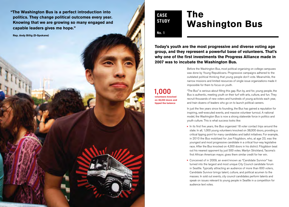**"The Washington Bus is a perfect introduction into politics. They change political outcomes every year. Knowing that we are growing so many engaged and capable leaders gives me hope."** 

**Rep. Andy Billig (D-Spokane)**

### **CASE STUDY**

## **The Washington Bus**

**No. 1**

**Today's youth are the most progressive and diverse voting age group, and they represent a powerful base of volunteers. That's why one of the first investments the Progress Alliance made in 2007 was to incubate the Washington Bus.**

> Before the Washington Bus, most political organizing on college campuses was done by Young Republicans. Progressive campaigns adhered to the outdated political thinking that young people don't vote. Meanwhile, the narrow missions and limited resources of single issue organizations made it impossible for them to focus on youth.

**1,000 volunteers knocked on 38,000 doors and tipped the balance**

"The Bus" is serious about filling this gap. Run by, and for, young people, the Bus is authentic, meeting youth on their turf with arts, culture, and fun. They recruit thousands of new voters and hundreds of young activists each year, and train dozens of leaders who go on to launch political careers.

In just the few years since its founding, the Bus has gained a reputation for inspiring, well-executed events, and massive volunteer turnout. A national model, the Washington Bus is now a strong statewide force in politics and youth culture. This is what success looks like:

- $\blacktriangleright$  In its first five years, the Bus organized 18 voter contact trips around the state. In all, 1,000 young volunteers knocked on 38,000 doors, providing a critical tipping point for many candidates and ballot initiatives. For example, in 2010 the Bus mobilized for Joe Fitzgibbon, who, at age 23, was the youngest and most progressive candidate in a critical four-way legislative race. After the Bus knocked on 4,300 doors in his district. Fitzgibbon beat out his nearest opponent by just 500 votes. Marilyn Strickland, Tacoma's first African American mayor, gives them similar credit for her win.
- Conceived of in 2009, an event known as "Candidate Survivor" has ▲ turned into the largest and most unique City Council candidate forum in Seattle. Typically attracting an audience of more than 600 voters, Candidate Survivor brings talent, culture, and political acumen to the masses. In sold out events, city council candidates perform talents and speak on issues relevant to young people in Seattle in a competition for audience text votes.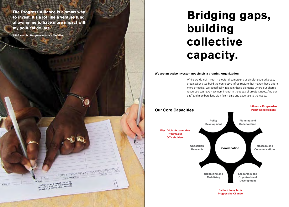**"The Progress Alliance is a smart way to invest. It's a lot like a venture fund, allowing me to have more impact with my political dollars."** 

**Bill Gates Sr., Progress Alliance Member** 

# **Bridging gaps, building collective capacity.**

#### **We are an active investor, not simply a granting organization.**

 $3 - 0$ 

While we do not invest in electoral campaigns or single-issue advocacy organizations, we build the connective infrastructure that makes these efforts more effective. We specifically invest in those elements where our shared resources can have maximum impact in the areas of greatest need. And our staff and members lend significant time and expertise to the cause.



 $11$ Trink Sa, 2010, 5:00-7:00pm<br>Networking on the Roofprom<br>Greater Spokane Progresp<br>Greater Spokane Progress mount.

 $\mu$ mu - 7

**Victa Arrogatists GERMANIAN**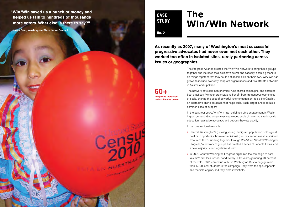**"Win/Win saved us a bunch of money and helped us talk to hundreds of thousands more voters. What else is there to say?"** 

**Karen Deal, Washington State Labor Council**

**CASE STUDY**

## **The Win/Win Network**

**No. 2**

**As recently as 2007, many of Washington's most successful progressive advocates had never even met each other. They worked too often in isolated silos, rarely partnering across issues or geographies.**

> The Progress Alliance created the Win/Win Network to bring these groups together and increase their collective power and capacity, enabling them to do things together that they could not accomplish on their own. Win/Win has grown to include over sixty nonprofit organizations and two affiliate networks in Yakima and Spokane.

**60+ nonprofits increased their collective power** The network sets common priorities, runs shared campaigns, and enforces best practices. Member organizations benefit from tremendous economies of scale, sharing the cost of powerful voter engagement tools like Catalist, an interactive online database that helps build, track, target, and mobilize a common base of support.

In the past four years, Win/Win has re-defined civic engagement in Washington, orchestrating a seamless year-round cycle of voter registration, civic education, legislative advocacy, and get-out-the-vote activity.

In just one regional example:

- ▶ Central Washington's growing young immigrant population holds great political opportunity, however individual groups cannot invest sustained resources there. Working together through Win/Win's "Central Washington Progress," a network of groups has created a series of impactful wins, and a new majority Latino legislative district.
- ► In 2009 Central Washington Progress organized the campaign to pass Yakima's first local school bond victory in 16 years, garnering 70 percent of the vote. CWP teamed up with the Washington Bus to engage more than 1,000 local students in the campaign. They were the spokespeople and the field engine, and they were irresistible.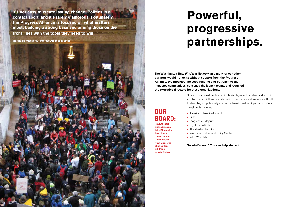**"It's not easy to create lasting change. Politics is a contact sport, and it's rarely glamorous. Fortunately, the Progress Alliance is focused on what matters most: building a strong base and arming those on the front lines with the tools they need to win"** 

**Martha Kongsgaard, Progress Alliance Member**

# **Powerful, progressive partnerships.**

**The Washington Bus, Win/Win Network and many of our other partners would not exist without support from the Progress Alliance. We provided the seed funding and outreach to the impacted communities, convened the launch teams, and recruited the executive directors for these organizations.** 

> Some of our investments are highly visible, easy to understand, and fill an obvious gap. Others operate behind the scenes and are more difficult to describe, but potentially even more transformative. A partial list of our investments includes:

- **American Narrative Project**
- ▶ Fuse
	- ▶ Progressive Majority
	- ▶ Sightline Institute
	- ▶ The Washington Bus
	- ▶ WA State Budget and Policy Center
	- ▶ Win / Win Network

**So what's next? You can help shape it.**

### **OUR** ▲ **BOARD:**

**Paul Abrams Brian Arbogast Jabe Blumenthal Brett Burris David Giuliani David Kaplan Ruth Lipscomb Elise Lufkin Bill Pope Valerie Tarico**